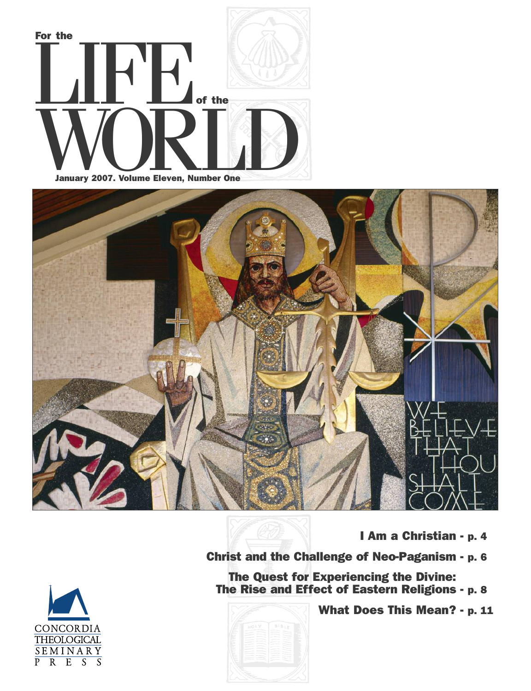



**I Am a Christian - p. 4**

**What Does This Mean? - p. 11**

**Christ and the Challenge of Neo-Paganism - p. 6**

**The Quest for Experiencing the Divine: The Rise and Effect of Eastern Religions - p. 8**

**BIBU** 

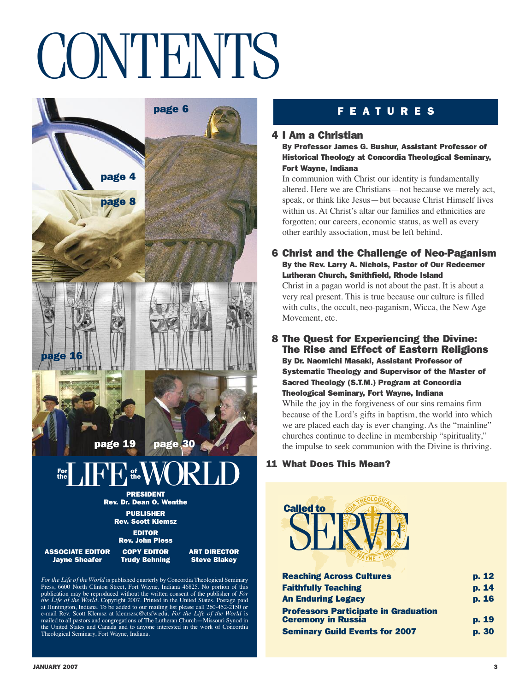## **CONTENTS**



*For the Life of theWorld* is published quarterly by Concordia Theological Seminary Press, 6600 North Clinton Street, Fort Wayne, Indiana 46825. No portion of this publication may be reproduced without the written consent of the publisher of *For the Life of the World*. Copyright 2007. Printed in the United States. Postage paid at Huntington, Indiana. To be added to our mailing list please call 260-452-2150 or e-mail Rev. Scott Klemsz at klemszsc@ctsfw.edu. *For the Life of the World* is mailed to all pastors and congregations of The Lutheran Church—Missouri Synod in the United States and Canada and to anyone interested in the work of Concordia Theological Seminary, Fort Wayne, Indiana.

### **4 I Am a Christian**

**By Professor James G. Bushur, Assistant Professor of Historical Theology at Concordia Theological Seminary, Fort Wayne, Indiana**

In communion with Christ our identity is fundamentally altered. Here we are Christians—not because we merely act, speak, or think like Jesus—but because Christ Himself lives within us. At Christ's altar our families and ethnicities are forgotten; our careers, economic status, as well as every other earthly association, must be left behind.

### **6 Christ and the Challenge of Neo-Paganism By the Rev. Larry A. Nichols, Pastor of Our Redeemer Lutheran Church, Smithfield, Rhode Island**

Christ in a pagan world is not about the past. It is about a very real present. This is true because our culture is filled with cults, the occult, neo-paganism, Wicca, the New Age Movement, etc.

### **8 The Quest for Experiencing the Divine: The Rise and Effect of Eastern Religions**

**By Dr. Naomichi Masaki, Assistant Professor of Systematic Theology and Supervisor of the Master of Sacred Theology (S.T.M.) Program at Concordia Theological Seminary, Fort Wayne, Indiana**

While the joy in the forgiveness of our sins remains firm because of the Lord's gifts in baptism, the world into which we are placed each day is ever changing. As the "mainline" churches continue to decline in membership "spirituality," the impulse to seek communion with the Divine is thriving.

### **11 What Does This Mean?**



| <b>Reaching Across Cultures</b>             | p. 12 |
|---------------------------------------------|-------|
| <b>Faithfully Teaching</b>                  | p. 14 |
| <b>An Enduring Legacy</b>                   | p. 16 |
| <b>Professors Participate in Graduation</b> |       |
| <b>Ceremony in Russia</b>                   | p. 19 |
| <b>Seminary Guild Events for 2007</b>       | p. 30 |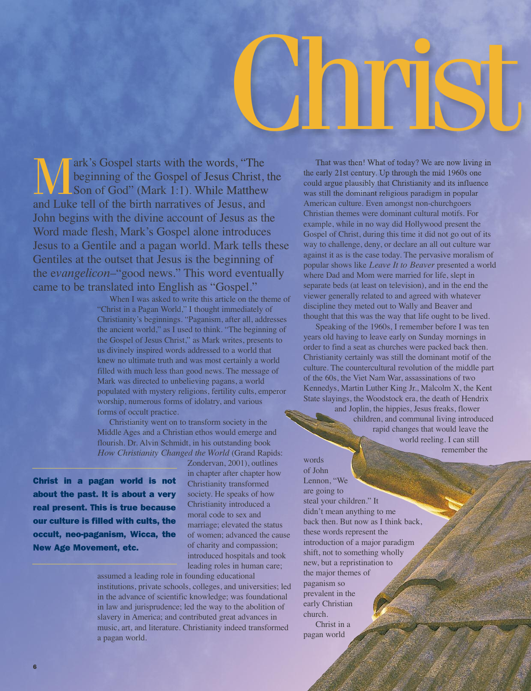# Christ

**Mark's Gospel starts with the words, "The beginning of the Gospel of Jesus Christ, Son of God" (Mark 1:1). While Matthew** beginning of the Gospel of Jesus Christ, the Son of God" (Mark 1:1). While Matthew and Luke tell of the birth narratives of Jesus, and John begins with the divine account of Jesus as the Word made flesh, Mark's Gospel alone introduces Jesus to a Gentile and a pagan world. Mark tells these Gentiles at the outset that Jesus is the beginning of the e*vangelicon*–"good news." This word eventually came to be translated into English as "Gospel."

When I was asked to write this article on the theme of "Christ in a Pagan World," I thought immediately of Christianity's beginnings. "Paganism, after all, addresses the ancient world," as I used to think. "The beginning of the Gospel of Jesus Christ," as Mark writes, presents to us divinely inspired words addressed to a world that knew no ultimate truth and was most certainly a world filled with much less than good news. The message of Mark was directed to unbelieving pagans, a world populated with mystery religions, fertility cults, emperor worship, numerous forms of idolatry, and various forms of occult practice.

Christianity went on to transform society in the Middle Ages and a Christian ethos would emerge and flourish. Dr. Alvin Schmidt, in his outstanding book *How Christianity Changed the World* (Grand Rapids:

**Christ in a pagan world is not about the past. It is about a very real present. This is true because our culture is filled with cults, the occult, neo-paganism, Wicca, the New Age Movement, etc.**

Zondervan, 2001), outlines in chapter after chapter how Christianity transformed society. He speaks of how Christianity introduced a moral code to sex and marriage; elevated the status of women; advanced the cause of charity and compassion; introduced hospitals and took leading roles in human care;

assumed a leading role in founding educational institutions, private schools, colleges, and universities; led in the advance of scientific knowledge; was foundational in law and jurisprudence; led the way to the abolition of slavery in America; and contributed great advances in music, art, and literature. Christianity indeed transformed a pagan world.

That was then! What of today? We are now living in the early 21st century. Up through the mid 1960s one could argue plausibly that Christianity and its influence was still the dominant religious paradigm in popular American culture. Even amongst non-churchgoers Christian themes were dominant cultural motifs. For example, while in no way did Hollywood present the Gospel of Christ, during this time it did not go out of its way to challenge, deny, or declare an all out culture war against it as is the case today. The pervasive moralism of popular shows like *Leave It to Beaver* presented a world where Dad and Mom were married for life, slept in separate beds (at least on television), and in the end the viewer generally related to and agreed with whatever discipline they meted out to Wally and Beaver and thought that this was the way that life ought to be lived.

Speaking of the 1960s, I remember before I was ten years old having to leave early on Sunday mornings in order to find a seat as churches were packed back then. Christianity certainly was still the dominant motif of the culture. The countercultural revolution of the middle part of the 60s, the Viet Nam War, assassinations of two Kennedys, Martin Luther King Jr., Malcolm X, the Kent State slayings, the Woodstock era, the death of Hendrix

and Joplin, the hippies, Jesus freaks, flower children, and communal living introduced rapid changes that would leave the world reeling. I can still remember the

words of John Lennon, "We are going to steal your children." It didn't mean anything to me back then. But now as I think back, these words represent the introduction of a major paradigm shift, not to something wholly new, but a repristination to the major themes of paganism so prevalent in the early Christian church.

Christ in a pagan world